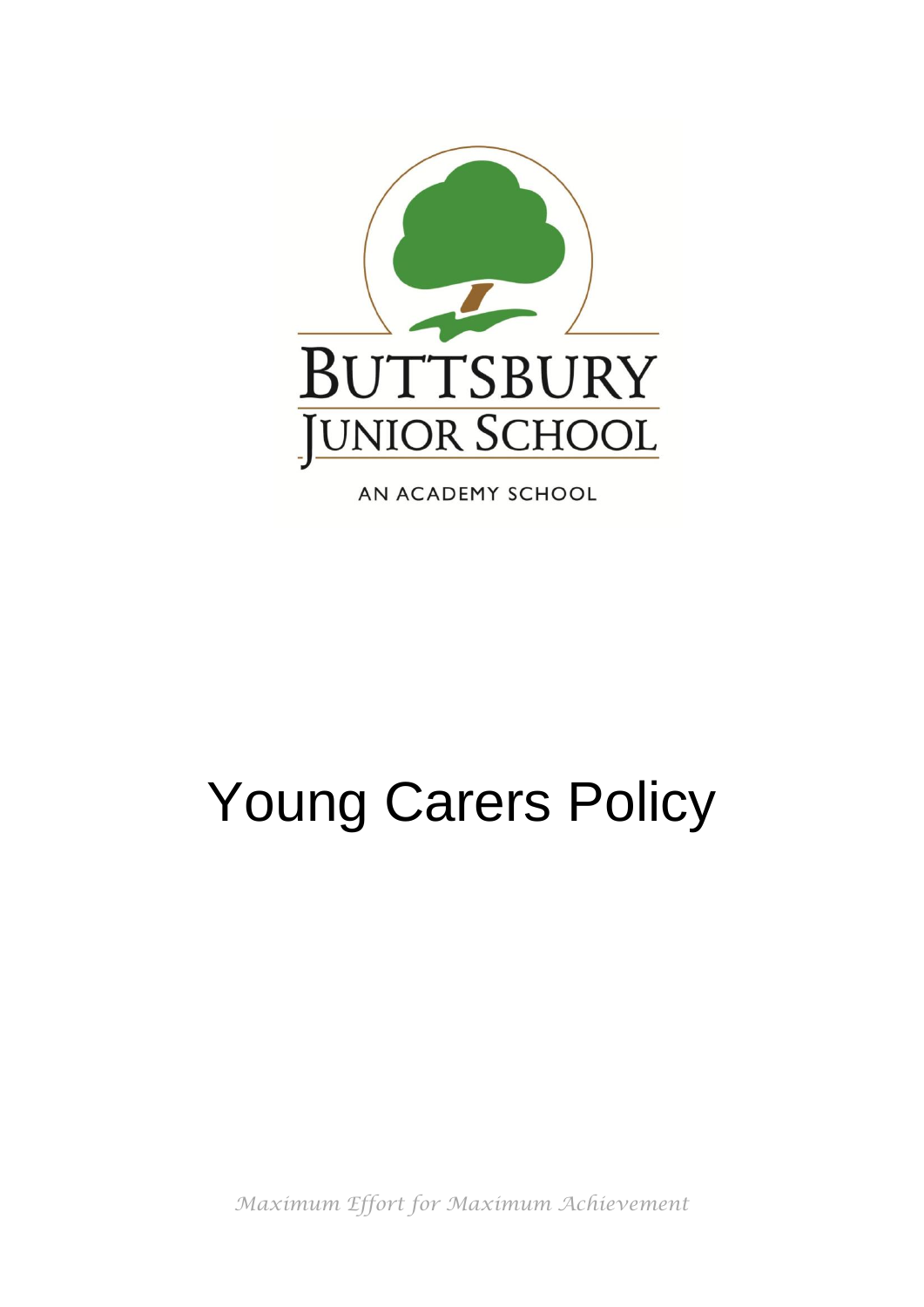

AN ACADEMY SCHOOL

# Young Carers Policy

*Maximum Effort for Maximum Achievement*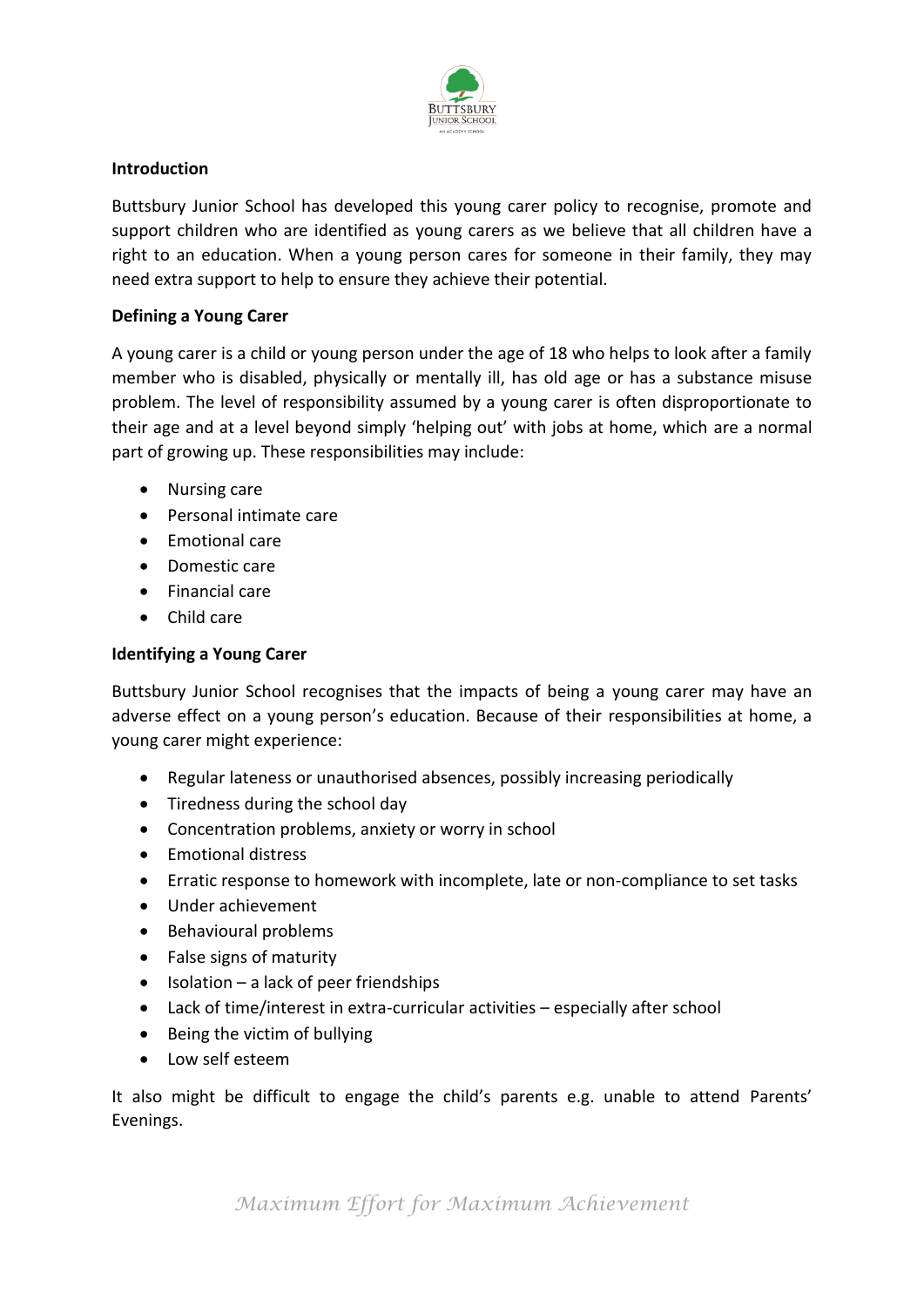

## **Introduction**

Buttsbury Junior School has developed this young carer policy to recognise, promote and support children who are identified as young carers as we believe that all children have a right to an education. When a young person cares for someone in their family, they may need extra support to help to ensure they achieve their potential.

## **Defining a Young Carer**

A young carer is a child or young person under the age of 18 who helps to look after a family member who is disabled, physically or mentally ill, has old age or has a substance misuse problem. The level of responsibility assumed by a young carer is often disproportionate to their age and at a level beyond simply 'helping out' with jobs at home, which are a normal part of growing up. These responsibilities may include:

- Nursing care
- Personal intimate care
- Emotional care
- Domestic care
- Financial care
- Child care

# **Identifying a Young Carer**

Buttsbury Junior School recognises that the impacts of being a young carer may have an adverse effect on a young person's education. Because of their responsibilities at home, a young carer might experience:

- Regular lateness or unauthorised absences, possibly increasing periodically
- Tiredness during the school day
- Concentration problems, anxiety or worry in school
- Emotional distress
- Erratic response to homework with incomplete, late or non-compliance to set tasks
- Under achievement
- Behavioural problems
- False signs of maturity
- $\bullet$  Isolation a lack of peer friendships
- Lack of time/interest in extra-curricular activities especially after school
- Being the victim of bullying
- Low self esteem

It also might be difficult to engage the child's parents e.g. unable to attend Parents' Evenings.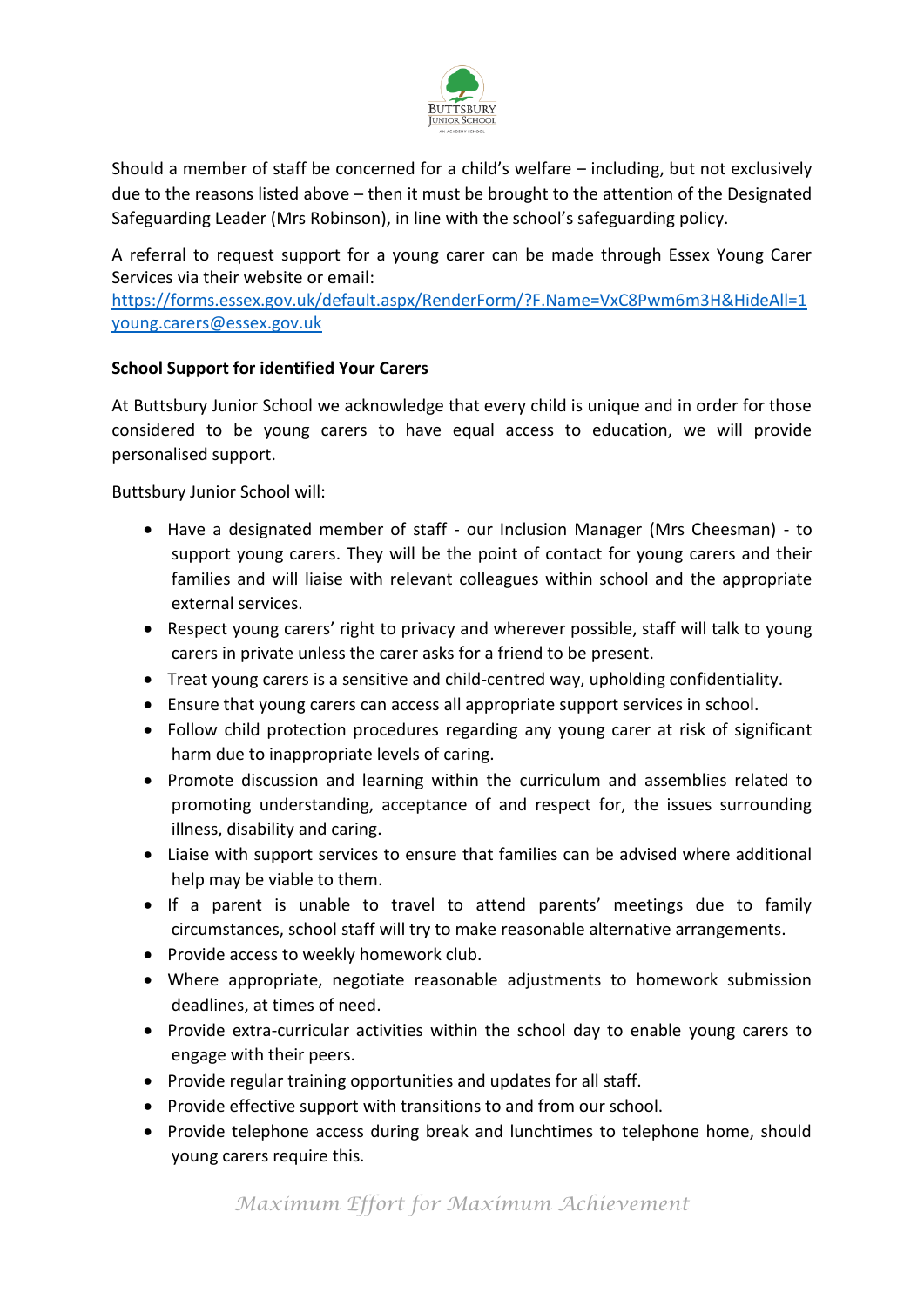

Should a member of staff be concerned for a child's welfare – including, but not exclusively due to the reasons listed above – then it must be brought to the attention of the Designated Safeguarding Leader (Mrs Robinson), in line with the school's safeguarding policy.

A referral to request support for a young carer can be made through Essex Young Carer Services via their website or email:

<https://forms.essex.gov.uk/default.aspx/RenderForm/?F.Name=VxC8Pwm6m3H&HideAll=1> [young.carers@essex.gov.uk](mailto:young.carers@essex.gov.uk)

## **School Support for identified Your Carers**

At Buttsbury Junior School we acknowledge that every child is unique and in order for those considered to be young carers to have equal access to education, we will provide personalised support.

Buttsbury Junior School will:

- Have a designated member of staff our Inclusion Manager (Mrs Cheesman) to support young carers. They will be the point of contact for young carers and their families and will liaise with relevant colleagues within school and the appropriate external services.
- Respect young carers' right to privacy and wherever possible, staff will talk to young carers in private unless the carer asks for a friend to be present.
- Treat young carers is a sensitive and child-centred way, upholding confidentiality.
- Ensure that young carers can access all appropriate support services in school.
- Follow child protection procedures regarding any young carer at risk of significant harm due to inappropriate levels of caring.
- Promote discussion and learning within the curriculum and assemblies related to promoting understanding, acceptance of and respect for, the issues surrounding illness, disability and caring.
- Liaise with support services to ensure that families can be advised where additional help may be viable to them.
- If a parent is unable to travel to attend parents' meetings due to family circumstances, school staff will try to make reasonable alternative arrangements.
- Provide access to weekly homework club.
- Where appropriate, negotiate reasonable adjustments to homework submission deadlines, at times of need.
- Provide extra-curricular activities within the school day to enable young carers to engage with their peers.
- Provide regular training opportunities and updates for all staff.
- Provide effective support with transitions to and from our school.
- Provide telephone access during break and lunchtimes to telephone home, should young carers require this.